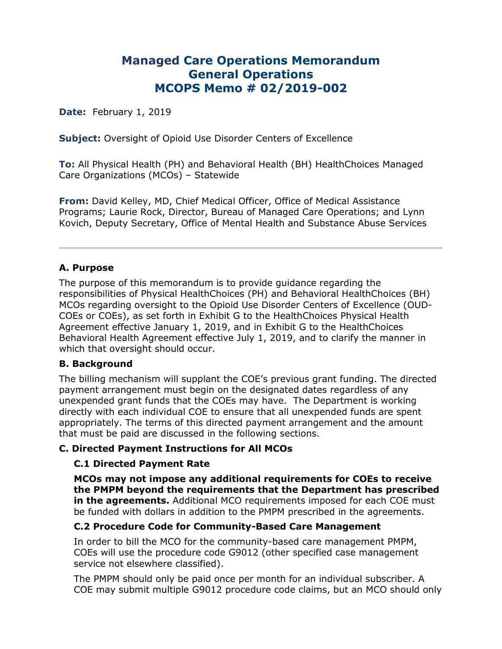# **Managed Care Operations Memorandum General Operations MCOPS Memo # 02/2019-002**

**Date:** February 1, 2019

**Subject:** Oversight of Opioid Use Disorder Centers of Excellence

**To:** All Physical Health (PH) and Behavioral Health (BH) HealthChoices Managed Care Organizations (MCOs) – Statewide

**From:** David Kelley, MD, Chief Medical Officer, Office of Medical Assistance Programs; Laurie Rock, Director, Bureau of Managed Care Operations; and Lynn Kovich, Deputy Secretary, Office of Mental Health and Substance Abuse Services

#### **A. Purpose**

The purpose of this memorandum is to provide guidance regarding the responsibilities of Physical HealthChoices (PH) and Behavioral HealthChoices (BH) MCOs regarding oversight to the Opioid Use Disorder Centers of Excellence (OUD-COEs or COEs), as set forth in Exhibit G to the HealthChoices Physical Health Agreement effective January 1, 2019, and in Exhibit G to the HealthChoices Behavioral Health Agreement effective July 1, 2019, and to clarify the manner in which that oversight should occur.

#### **B. Background**

The billing mechanism will supplant the COE's previous grant funding. The directed payment arrangement must begin on the designated dates regardless of any unexpended grant funds that the COEs may have. The Department is working directly with each individual COE to ensure that all unexpended funds are spent appropriately. The terms of this directed payment arrangement and the amount that must be paid are discussed in the following sections.

# **C. Directed Payment Instructions for All MCOs**

#### **C.1 Directed Payment Rate**

**MCOs may not impose any additional requirements for COEs to receive the PMPM beyond the requirements that the Department has prescribed in the agreements.** Additional MCO requirements imposed for each COE must be funded with dollars in addition to the PMPM prescribed in the agreements.

#### **C.2 Procedure Code for Community-Based Care Management**

In order to bill the MCO for the community-based care management PMPM, COEs will use the procedure code G9012 (other specified case management service not elsewhere classified).

The PMPM should only be paid once per month for an individual subscriber. A COE may submit multiple G9012 procedure code claims, but an MCO should only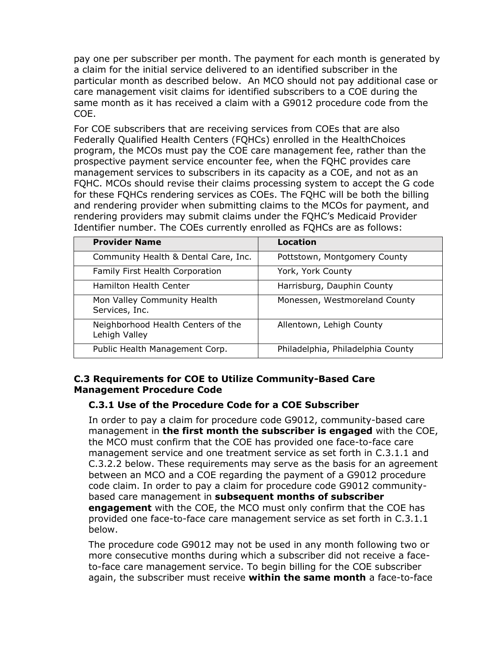pay one per subscriber per month. The payment for each month is generated by a claim for the initial service delivered to an identified subscriber in the particular month as described below. An MCO should not pay additional case or care management visit claims for identified subscribers to a COE during the same month as it has received a claim with a G9012 procedure code from the COE.

For COE subscribers that are receiving services from COEs that are also Federally Qualified Health Centers (FQHCs) enrolled in the HealthChoices program, the MCOs must pay the COE care management fee, rather than the prospective payment service encounter fee, when the FQHC provides care management services to subscribers in its capacity as a COE, and not as an FQHC. MCOs should revise their claims processing system to accept the G code for these FQHCs rendering services as COEs. The FQHC will be both the billing and rendering provider when submitting claims to the MCOs for payment, and rendering providers may submit claims under the FQHC's Medicaid Provider Identifier number. The COEs currently enrolled as FQHCs are as follows:

| <b>Provider Name</b>                                | Location                          |
|-----------------------------------------------------|-----------------------------------|
| Community Health & Dental Care, Inc.                | Pottstown, Montgomery County      |
| Family First Health Corporation                     | York, York County                 |
| Hamilton Health Center                              | Harrisburg, Dauphin County        |
| Mon Valley Community Health<br>Services, Inc.       | Monessen, Westmoreland County     |
| Neighborhood Health Centers of the<br>Lehigh Valley | Allentown, Lehigh County          |
| Public Health Management Corp.                      | Philadelphia, Philadelphia County |

#### **C.3 Requirements for COE to Utilize Community-Based Care Management Procedure Code**

# **C.3.1 Use of the Procedure Code for a COE Subscriber**

In order to pay a claim for procedure code G9012, community-based care management in **the first month the subscriber is engaged** with the COE, the MCO must confirm that the COE has provided one face-to-face care management service and one treatment service as set forth in C.3.1.1 and C.3.2.2 below. These requirements may serve as the basis for an agreement between an MCO and a COE regarding the payment of a G9012 procedure code claim. In order to pay a claim for procedure code G9012 communitybased care management in **subsequent months of subscriber engagement** with the COE, the MCO must only confirm that the COE has provided one face-to-face care management service as set forth in C.3.1.1 below.

The procedure code G9012 may not be used in any month following two or more consecutive months during which a subscriber did not receive a faceto-face care management service. To begin billing for the COE subscriber again, the subscriber must receive **within the same month** a face-to-face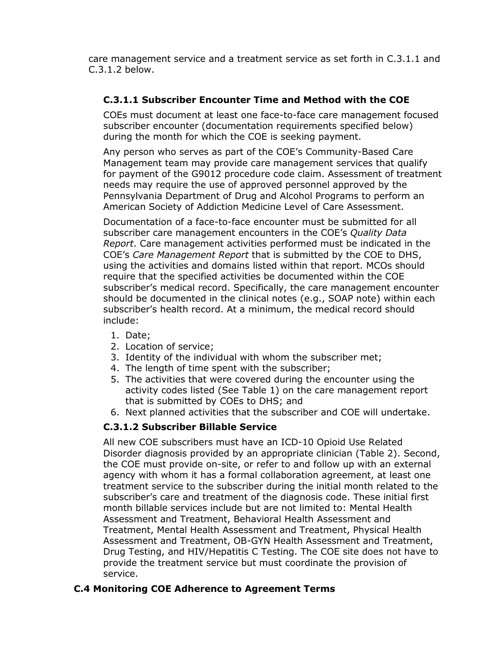care management service and a treatment service as set forth in C.3.1.1 and C.3.1.2 below.

# **C.3.1.1 Subscriber Encounter Time and Method with the COE**

COEs must document at least one face-to-face care management focused subscriber encounter (documentation requirements specified below) during the month for which the COE is seeking payment.

Any person who serves as part of the COE's Community-Based Care Management team may provide care management services that qualify for payment of the G9012 procedure code claim. Assessment of treatment needs may require the use of approved personnel approved by the Pennsylvania Department of Drug and Alcohol Programs to perform an American Society of Addiction Medicine Level of Care Assessment.

Documentation of a face-to-face encounter must be submitted for all subscriber care management encounters in the COE's *Quality Data Report*. Care management activities performed must be indicated in the COE's *Care Management Report* that is submitted by the COE to DHS, using the activities and domains listed within that report. MCOs should require that the specified activities be documented within the COE subscriber's medical record. Specifically, the care management encounter should be documented in the clinical notes (e.g., SOAP note) within each subscriber's health record. At a minimum, the medical record should include:

- 1. Date;
- 2. Location of service;
- 3. Identity of the individual with whom the subscriber met;
- 4. The length of time spent with the subscriber;
- 5. The activities that were covered during the encounter using the activity codes listed (See Table 1) on the care management report that is submitted by COEs to DHS; and
- 6. Next planned activities that the subscriber and COE will undertake.

# **C.3.1.2 Subscriber Billable Service**

All new COE subscribers must have an ICD-10 Opioid Use Related Disorder diagnosis provided by an appropriate clinician (Table 2). Second, the COE must provide on-site, or refer to and follow up with an external agency with whom it has a formal collaboration agreement, at least one treatment service to the subscriber during the initial month related to the subscriber's care and treatment of the diagnosis code. These initial first month billable services include but are not limited to: Mental Health Assessment and Treatment, Behavioral Health Assessment and Treatment, Mental Health Assessment and Treatment, Physical Health Assessment and Treatment, OB-GYN Health Assessment and Treatment, Drug Testing, and HIV/Hepatitis C Testing. The COE site does not have to provide the treatment service but must coordinate the provision of service.

#### **C.4 Monitoring COE Adherence to Agreement Terms**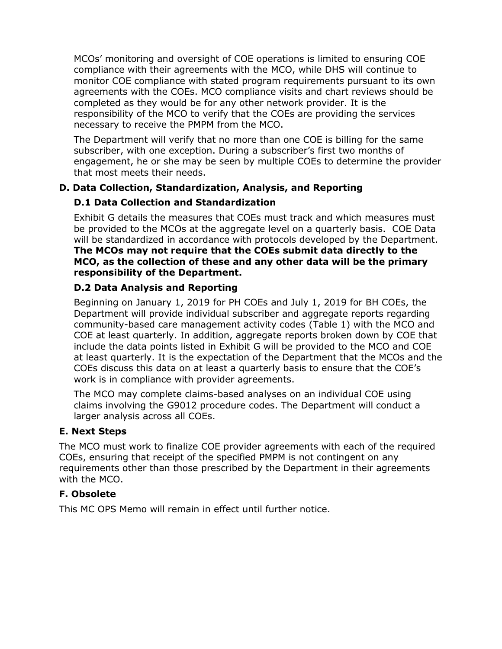MCOs' monitoring and oversight of COE operations is limited to ensuring COE compliance with their agreements with the MCO, while DHS will continue to monitor COE compliance with stated program requirements pursuant to its own agreements with the COEs. MCO compliance visits and chart reviews should be completed as they would be for any other network provider. It is the responsibility of the MCO to verify that the COEs are providing the services necessary to receive the PMPM from the MCO.

The Department will verify that no more than one COE is billing for the same subscriber, with one exception. During a subscriber's first two months of engagement, he or she may be seen by multiple COEs to determine the provider that most meets their needs.

# **D. Data Collection, Standardization, Analysis, and Reporting**

# **D.1 Data Collection and Standardization**

Exhibit G details the measures that COEs must track and which measures must be provided to the MCOs at the aggregate level on a quarterly basis. COE Data will be standardized in accordance with protocols developed by the Department. **The MCOs may not require that the COEs submit data directly to the MCO, as the collection of these and any other data will be the primary responsibility of the Department.**

# **D.2 Data Analysis and Reporting**

Beginning on January 1, 2019 for PH COEs and July 1, 2019 for BH COEs, the Department will provide individual subscriber and aggregate reports regarding community-based care management activity codes (Table 1) with the MCO and COE at least quarterly. In addition, aggregate reports broken down by COE that include the data points listed in Exhibit G will be provided to the MCO and COE at least quarterly. It is the expectation of the Department that the MCOs and the COEs discuss this data on at least a quarterly basis to ensure that the COE's work is in compliance with provider agreements.

The MCO may complete claims-based analyses on an individual COE using claims involving the G9012 procedure codes. The Department will conduct a larger analysis across all COEs.

# **E. Next Steps**

The MCO must work to finalize COE provider agreements with each of the required COEs, ensuring that receipt of the specified PMPM is not contingent on any requirements other than those prescribed by the Department in their agreements with the MCO.

# **F. Obsolete**

This MC OPS Memo will remain in effect until further notice.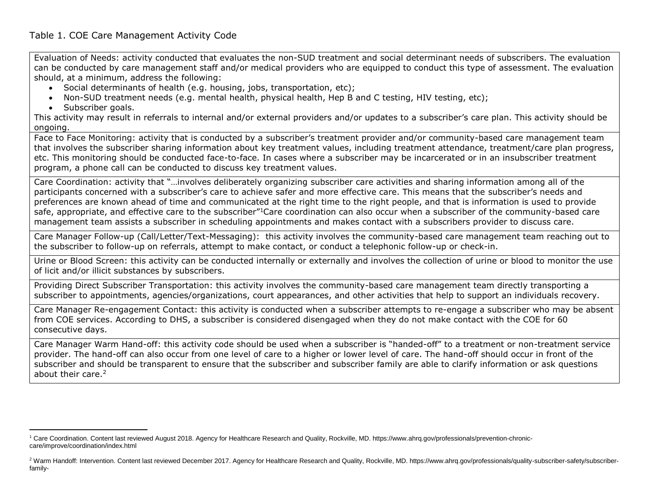Evaluation of Needs: activity conducted that evaluates the non-SUD treatment and social determinant needs of subscribers. The evaluation can be conducted by care management staff and/or medical providers who are equipped to conduct this type of assessment. The evaluation should, at a minimum, address the following:

- Social determinants of health (e.g. housing, jobs, transportation, etc);
- Non-SUD treatment needs (e.g. mental health, physical health, Hep B and C testing, HIV testing, etc);
- Subscriber goals.

 $\overline{a}$ 

This activity may result in referrals to internal and/or external providers and/or updates to a subscriber's care plan. This activity should be ongoing.

Face to Face Monitoring: activity that is conducted by a subscriber's treatment provider and/or community-based care management team that involves the subscriber sharing information about key treatment values, including treatment attendance, treatment/care plan progress, etc. This monitoring should be conducted face-to-face. In cases where a subscriber may be incarcerated or in an insubscriber treatment program, a phone call can be conducted to discuss key treatment values.

Care Coordination: activity that "…involves deliberately organizing subscriber care activities and sharing information among all of the participants concerned with a subscriber's care to achieve safer and more effective care. This means that the subscriber's needs and preferences are known ahead of time and communicated at the right time to the right people, and that is information is used to provide safe, appropriate, and effective care to the subscriber"<sup>1</sup>Care coordination can also occur when a subscriber of the community-based care management team assists a subscriber in scheduling appointments and makes contact with a subscribers provider to discuss care.

Care Manager Follow-up (Call/Letter/Text-Messaging): this activity involves the community-based care management team reaching out to the subscriber to follow-up on referrals, attempt to make contact, or conduct a telephonic follow-up or check-in.

Urine or Blood Screen: this activity can be conducted internally or externally and involves the collection of urine or blood to monitor the use of licit and/or illicit substances by subscribers.

Providing Direct Subscriber Transportation: this activity involves the community-based care management team directly transporting a subscriber to appointments, agencies/organizations, court appearances, and other activities that help to support an individuals recovery.

Care Manager Re-engagement Contact: this activity is conducted when a subscriber attempts to re-engage a subscriber who may be absent from COE services. According to DHS, a subscriber is considered disengaged when they do not make contact with the COE for 60 consecutive days.

Care Manager Warm Hand-off: this activity code should be used when a subscriber is "handed-off" to a treatment or non-treatment service provider. The hand-off can also occur from one level of care to a higher or lower level of care. The hand-off should occur in front of the subscriber and should be transparent to ensure that the subscriber and subscriber family are able to clarify information or ask questions about their care.<sup>2</sup>

<sup>1</sup> Care Coordination. Content last reviewed August 2018. Agency for Healthcare Research and Quality, Rockville, MD. https://www.ahrq.gov/professionals/prevention-chroniccare/improve/coordination/index.html

<sup>&</sup>lt;sup>2</sup> Warm Handoff: Intervention. Content last reviewed December 2017. Agency for Healthcare Research and Quality, Rockville, MD. https://www.ahrq.gov/professionals/quality-subscriber-safety/subscriberfamily-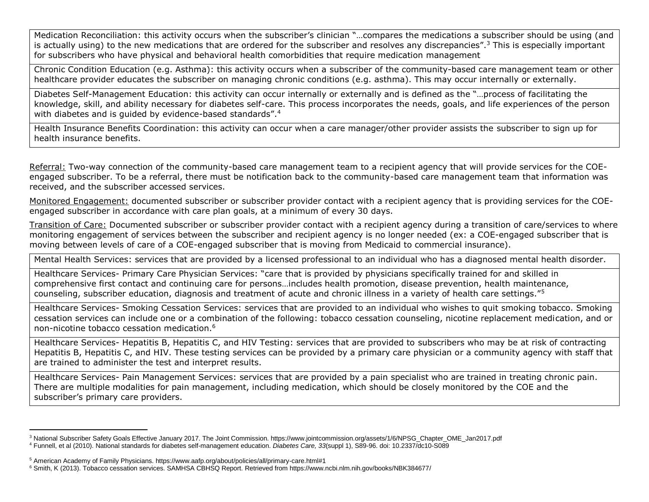Medication Reconciliation: this activity occurs when the subscriber's clinician "…compares the medications a subscriber should be using (and is actually using) to the new medications that are ordered for the subscriber and resolves any discrepancies".<sup>3</sup> This is especially important for subscribers who have physical and behavioral health comorbidities that require medication management

Chronic Condition Education (e.g. Asthma): this activity occurs when a subscriber of the community-based care management team or other healthcare provider educates the subscriber on managing chronic conditions (e.g. asthma). This may occur internally or externally.

Diabetes Self-Management Education: this activity can occur internally or externally and is defined as the "…process of facilitating the knowledge, skill, and ability necessary for diabetes self-care. This process incorporates the needs, goals, and life experiences of the person with diabetes and is quided by evidence-based standards".<sup>4</sup>

Health Insurance Benefits Coordination: this activity can occur when a care manager/other provider assists the subscriber to sign up for health insurance benefits.

Referral: Two-way connection of the community-based care management team to a recipient agency that will provide services for the COEengaged subscriber. To be a referral, there must be notification back to the community-based care management team that information was received, and the subscriber accessed services.

Monitored Engagement: documented subscriber or subscriber provider contact with a recipient agency that is providing services for the COEengaged subscriber in accordance with care plan goals, at a minimum of every 30 days.

Transition of Care: Documented subscriber or subscriber provider contact with a recipient agency during a transition of care/services to where monitoring engagement of services between the subscriber and recipient agency is no longer needed (ex: a COE-engaged subscriber that is moving between levels of care of a COE-engaged subscriber that is moving from Medicaid to commercial insurance).

Mental Health Services: services that are provided by a licensed professional to an individual who has a diagnosed mental health disorder.

Healthcare Services- Primary Care Physician Services: "care that is provided by physicians specifically trained for and skilled in comprehensive first contact and continuing care for persons…includes health promotion, disease prevention, health maintenance, counseling, subscriber education, diagnosis and treatment of acute and chronic illness in a variety of health care settings."<sup>5</sup>

Healthcare Services- Smoking Cessation Services: services that are provided to an individual who wishes to quit smoking tobacco. Smoking cessation services can include one or a combination of the following: tobacco cessation counseling, nicotine replacement medication, and or non-nicotine tobacco cessation medication.<sup>6</sup>

Healthcare Services- Hepatitis B, Hepatitis C, and HIV Testing: services that are provided to subscribers who may be at risk of contracting Hepatitis B, Hepatitis C, and HIV. These testing services can be provided by a primary care physician or a community agency with staff that are trained to administer the test and interpret results.

Healthcare Services- Pain Management Services: services that are provided by a pain specialist who are trained in treating chronic pain. There are multiple modalities for pain management, including medication, which should be closely monitored by the COE and the subscriber's primary care providers.

 $\overline{a}$ 

<sup>&</sup>lt;sup>3</sup> National Subscriber Safety Goals Effective January 2017. The Joint Commission. https://www.jointcommission.org/assets/1/6/NPSG\_Chapter\_OME\_Jan2017.pdf

<sup>4</sup> Funnell, et al (2010). National standards for diabetes self-management education. *Diabetes Care, 33*(suppl 1), S89-96. doi: 10.2337/dc10-S089

<sup>5</sup> American Academy of Family Physicians. https://www.aafp.org/about/policies/all/primary-care.html#1

<sup>6</sup> Smith, K (2013). Tobacco cessation services. SAMHSA CBHSQ Report. Retrieved from https://www.ncbi.nlm.nih.gov/books/NBK384677/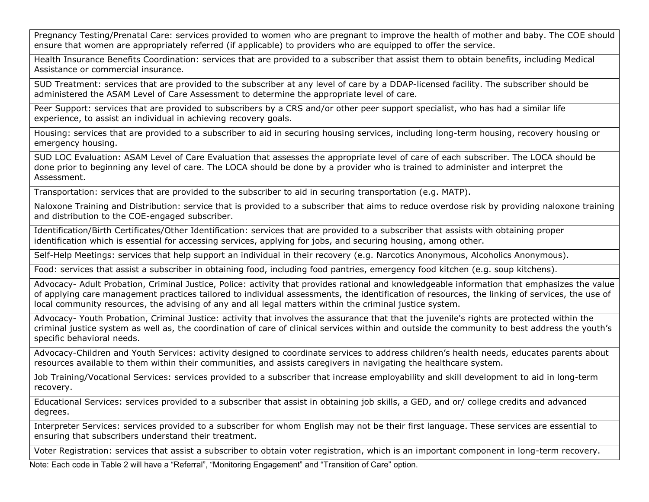Pregnancy Testing/Prenatal Care: services provided to women who are pregnant to improve the health of mother and baby. The COE should ensure that women are appropriately referred (if applicable) to providers who are equipped to offer the service.

Health Insurance Benefits Coordination: services that are provided to a subscriber that assist them to obtain benefits, including Medical Assistance or commercial insurance.

SUD Treatment: services that are provided to the subscriber at any level of care by a DDAP-licensed facility. The subscriber should be administered the ASAM Level of Care Assessment to determine the appropriate level of care.

Peer Support: services that are provided to subscribers by a CRS and/or other peer support specialist, who has had a similar life experience, to assist an individual in achieving recovery goals.

Housing: services that are provided to a subscriber to aid in securing housing services, including long-term housing, recovery housing or emergency housing.

SUD LOC Evaluation: ASAM Level of Care Evaluation that assesses the appropriate level of care of each subscriber. The LOCA should be done prior to beginning any level of care. The LOCA should be done by a provider who is trained to administer and interpret the Assessment.

Transportation: services that are provided to the subscriber to aid in securing transportation (e.g. MATP).

Naloxone Training and Distribution: service that is provided to a subscriber that aims to reduce overdose risk by providing naloxone training and distribution to the COE-engaged subscriber.

Identification/Birth Certificates/Other Identification: services that are provided to a subscriber that assists with obtaining proper identification which is essential for accessing services, applying for jobs, and securing housing, among other.

Self-Help Meetings: services that help support an individual in their recovery (e.g. Narcotics Anonymous, Alcoholics Anonymous).

Food: services that assist a subscriber in obtaining food, including food pantries, emergency food kitchen (e.g. soup kitchens).

Advocacy- Adult Probation, Criminal Justice, Police: activity that provides rational and knowledgeable information that emphasizes the value of applying care management practices tailored to individual assessments, the identification of resources, the linking of services, the use of local community resources, the advising of any and all legal matters within the criminal justice system.

Advocacy- Youth Probation, Criminal Justice: activity that involves the assurance that that the juvenile's rights are protected within the criminal justice system as well as, the coordination of care of clinical services within and outside the community to best address the youth's specific behavioral needs.

Advocacy-Children and Youth Services: activity designed to coordinate services to address children's health needs, educates parents about resources available to them within their communities, and assists caregivers in navigating the healthcare system.

Job Training/Vocational Services: services provided to a subscriber that increase employability and skill development to aid in long-term recovery.

Educational Services: services provided to a subscriber that assist in obtaining job skills, a GED, and or/ college credits and advanced degrees.

Interpreter Services: services provided to a subscriber for whom English may not be their first language. These services are essential to ensuring that subscribers understand their treatment.

Voter Registration: services that assist a subscriber to obtain voter registration, which is an important component in long-term recovery.

Note: Each code in Table 2 will have a "Referral", "Monitoring Engagement" and "Transition of Care" option.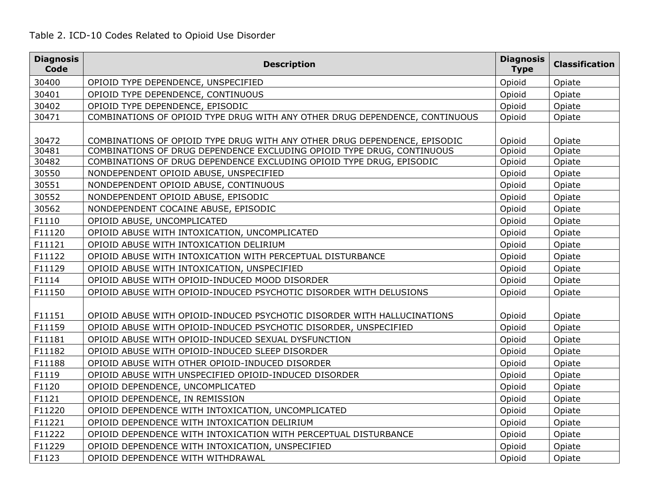# Table 2. ICD-10 Codes Related to Opioid Use Disorder

| <b>Diagnosis</b><br>Code | <b>Description</b>                                                                                                                                  | <b>Diagnosis</b><br><b>Type</b> | <b>Classification</b> |
|--------------------------|-----------------------------------------------------------------------------------------------------------------------------------------------------|---------------------------------|-----------------------|
| 30400                    | OPIOID TYPE DEPENDENCE, UNSPECIFIED                                                                                                                 | Opioid                          | Opiate                |
| 30401                    | OPIOID TYPE DEPENDENCE, CONTINUOUS                                                                                                                  | Opioid                          | Opiate                |
| 30402                    | OPIOID TYPE DEPENDENCE, EPISODIC                                                                                                                    | Opioid                          | Opiate                |
| 30471                    | COMBINATIONS OF OPIOID TYPE DRUG WITH ANY OTHER DRUG DEPENDENCE, CONTINUOUS                                                                         | Opioid                          | Opiate                |
|                          |                                                                                                                                                     |                                 |                       |
| 30472<br>30481           | COMBINATIONS OF OPIOID TYPE DRUG WITH ANY OTHER DRUG DEPENDENCE, EPISODIC<br>COMBINATIONS OF DRUG DEPENDENCE EXCLUDING OPIOID TYPE DRUG, CONTINUOUS | Opioid<br>Opioid                | Opiate<br>Opiate      |
| 30482                    | COMBINATIONS OF DRUG DEPENDENCE EXCLUDING OPIOID TYPE DRUG, EPISODIC                                                                                | Opioid                          | Opiate                |
| 30550                    | NONDEPENDENT OPIOID ABUSE, UNSPECIFIED                                                                                                              | Opioid                          | Opiate                |
| 30551                    | NONDEPENDENT OPIOID ABUSE, CONTINUOUS                                                                                                               | Opioid                          | Opiate                |
| 30552                    | NONDEPENDENT OPIOID ABUSE, EPISODIC                                                                                                                 | Opioid                          | Opiate                |
| 30562                    | NONDEPENDENT COCAINE ABUSE, EPISODIC                                                                                                                | Opioid                          | Opiate                |
| F1110                    | OPIOID ABUSE, UNCOMPLICATED                                                                                                                         | Opioid                          | Opiate                |
| F11120                   | OPIOID ABUSE WITH INTOXICATION, UNCOMPLICATED                                                                                                       | Opioid                          | Opiate                |
| F11121                   | OPIOID ABUSE WITH INTOXICATION DELIRIUM                                                                                                             | Opioid                          | Opiate                |
| F11122                   | OPIOID ABUSE WITH INTOXICATION WITH PERCEPTUAL DISTURBANCE                                                                                          | Opioid                          | Opiate                |
| F11129                   | OPIOID ABUSE WITH INTOXICATION, UNSPECIFIED                                                                                                         | Opioid                          | Opiate                |
| F1114                    | OPIOID ABUSE WITH OPIOID-INDUCED MOOD DISORDER                                                                                                      | Opioid                          | Opiate                |
| F11150                   | OPIOID ABUSE WITH OPIOID-INDUCED PSYCHOTIC DISORDER WITH DELUSIONS                                                                                  | Opioid                          | Opiate                |
|                          |                                                                                                                                                     |                                 |                       |
| F11151                   | OPIOID ABUSE WITH OPIOID-INDUCED PSYCHOTIC DISORDER WITH HALLUCINATIONS                                                                             | Opioid                          | Opiate                |
| F11159                   | OPIOID ABUSE WITH OPIOID-INDUCED PSYCHOTIC DISORDER, UNSPECIFIED                                                                                    | Opioid                          | Opiate                |
| F11181                   | OPIOID ABUSE WITH OPIOID-INDUCED SEXUAL DYSFUNCTION                                                                                                 | Opioid                          | Opiate                |
| F11182                   | OPIOID ABUSE WITH OPIOID-INDUCED SLEEP DISORDER                                                                                                     | Opioid                          | Opiate                |
| F11188                   | OPIOID ABUSE WITH OTHER OPIOID-INDUCED DISORDER                                                                                                     | Opioid                          | Opiate                |
| F1119                    | OPIOID ABUSE WITH UNSPECIFIED OPIOID-INDUCED DISORDER                                                                                               | Opioid                          | Opiate                |
| F1120                    | OPIOID DEPENDENCE, UNCOMPLICATED                                                                                                                    | Opioid                          | Opiate                |
| F1121                    | OPIOID DEPENDENCE, IN REMISSION                                                                                                                     | Opioid                          | Opiate                |
| F11220                   | OPIOID DEPENDENCE WITH INTOXICATION, UNCOMPLICATED                                                                                                  | Opioid                          | Opiate                |
| F11221                   | OPIOID DEPENDENCE WITH INTOXICATION DELIRIUM                                                                                                        | Opioid                          | Opiate                |
| F11222                   | OPIOID DEPENDENCE WITH INTOXICATION WITH PERCEPTUAL DISTURBANCE                                                                                     | Opioid                          | Opiate                |
| F11229                   | OPIOID DEPENDENCE WITH INTOXICATION, UNSPECIFIED                                                                                                    | Opioid                          | Opiate                |
| F1123                    | OPIOID DEPENDENCE WITH WITHDRAWAL                                                                                                                   | Opioid                          | Opiate                |